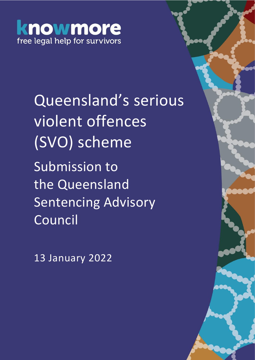# knowmore free legal help for survivors

Queensland's serious violent offences (SVO) scheme Submission to the Queensland Sentencing Advisory Council

13 January 2022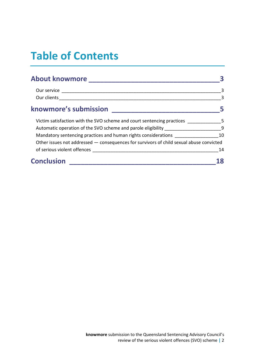## **Table of Contents**

| About knowmore New York New York 1980                                                   |    |
|-----------------------------------------------------------------------------------------|----|
|                                                                                         | 3  |
|                                                                                         | 3  |
| knowmore's submission<br><u> 1980 - Johann Barn, mars et al. (b. 1980)</u>              |    |
| Victim satisfaction with the SVO scheme and court sentencing practices 5                |    |
| Automatic operation of the SVO scheme and parole eligibility _________________________9 |    |
| Mandatory sentencing practices and human rights considerations                          | 10 |
| Other issues not addressed - consequences for survivors of child sexual abuse convicted |    |
| of serious violent offences                                                             | 14 |
| <b>Conclusion</b>                                                                       |    |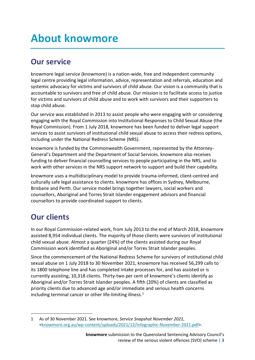## <span id="page-2-0"></span>**About knowmore**

### <span id="page-2-1"></span>**Our service**

knowmore legal service (knowmore) is a nation-wide, free and independent community legal centre providing legal information, advice, representation and referrals, education and systemic advocacy for victims and survivors of child abuse. Our vision is a community that is accountable to survivors and free of child abuse. Our mission is to facilitate access to justice for victims and survivors of child abuse and to work with survivors and their supporters to stop child abuse.

Our service was established in 2013 to assist people who were engaging with or considering engaging with the Royal Commission into Institutional Responses to Child Sexual Abuse (the Royal Commission). From 1 July 2018, knowmore has been funded to deliver legal support services to assist survivors of institutional child sexual abuse to access their redress options, including under the National Redress Scheme (NRS).

knowmore is funded by the Commonwealth Government, represented by the Attorney-General's Department and the Department of Social Services. knowmore also receives funding to deliver financial counselling services to people participating in the NRS, and to work with other services in the NRS support network to support and build their capability.

knowmore uses a multidisciplinary model to provide trauma-informed, client-centred and culturally safe legal assistance to clients. knowmore has offices in Sydney, Melbourne, Brisbane and Perth. Our service model brings together lawyers, social workers and counsellors, Aboriginal and Torres Strait Islander engagement advisors and financial counsellors to provide coordinated support to clients.

### <span id="page-2-2"></span>**Our clients**

In our Royal Commission-related work, from July 2013 to the end of March 2018, knowmore assisted 8,954 individual clients. The majority of those clients were survivors of institutional child sexual abuse. Almost a quarter (24%) of the clients assisted during our Royal Commission work identified as Aboriginal and/or Torres Strait Islander peoples.

Since the commencement of the National Redress Scheme for survivors of institutional child sexual abuse on 1 July 2018 to 30 November 2021, knowmore has received 56,299 calls to its 1800 telephone line and has completed intake processes for, and has assisted or is currently assisting, 10,318 clients. Thirty-two per cent of knowmore's clients identify as Aboriginal and/or Torres Strait Islander peoples. A fifth (20%) of clients are classified as priority clients due to advanced age and/or immediate and serious health concerns including terminal cancer or other life-limiting illness.<sup>1</sup>

<sup>1</sup> As of 30 November 2021. See knowmore, *Service Snapshot November 2021*, [<knowmore.org.au/wp-content/uploads/2021/12/Infographic-November-2021.pdf>](https://knowmore.org.au/wp-content/uploads/2021/12/Infographic-November-2021.pdf).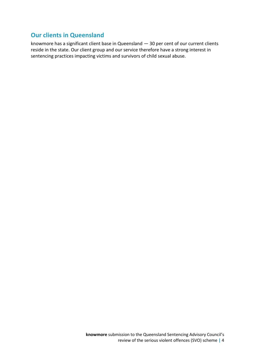#### **Our clients in Queensland**

knowmore has a significant client base in Queensland — 30 per cent of our current clients reside in the state. Our client group and our service therefore have a strong interest in sentencing practices impacting victims and survivors of child sexual abuse.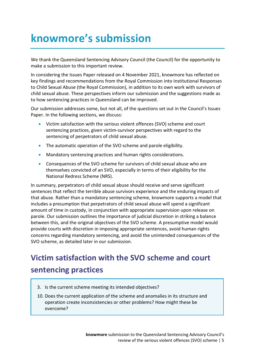## <span id="page-4-0"></span>**knowmore's submission**

We thank the Queensland Sentencing Advisory Council (the Council) for the opportunity to make a submission to this important review.

In considering the Issues Paper released on 4 November 2021, knowmore has reflected on key findings and recommendations from the Royal Commission into Institutional Responses to Child Sexual Abuse (the Royal Commission), in addition to its own work with survivors of child sexual abuse. These perspectives inform our submission and the suggestions made as to how sentencing practices in Queensland can be improved.

Our submission addresses some, but not all, of the questions set out in the Council's Issues Paper. In the following sections, we discuss:

- Victim satisfaction with the serious violent offences (SVO) scheme and court sentencing practices, given victim-survivor perspectives with regard to the sentencing of perpetrators of child sexual abuse.
- The automatic operation of the SVO scheme and parole eligibility.
- Mandatory sentencing practices and human rights considerations.
- Consequences of the SVO scheme for survivors of child sexual abuse who are themselves convicted of an SVO, especially in terms of their eligibility for the National Redress Scheme (NRS).

In summary, perpetrators of child sexual abuse should receive and serve significant sentences that reflect the terrible abuse survivors experience and the enduring impacts of that abuse. Rather than a mandatory sentencing scheme, knowmore supports a model that includes a presumption that perpetrators of child sexual abuse will spend a significant amount of time in custody, in conjunction with appropriate supervision upon release on parole. Our submission outlines the importance of judicial discretion in striking a balance between this, and the original objectives of the SVO scheme. A presumptive model would provide courts with discretion in imposing appropriate sentences, avoid human rights concerns regarding mandatory sentencing, and avoid the unintended consequences of the SVO scheme, as detailed later in our submission.

### <span id="page-4-1"></span>**Victim satisfaction with the SVO scheme and court sentencing practices**

- 3. Is the current scheme meeting its intended objectives?
- 10. Does the current application of the scheme and anomalies in its structure and operation create inconsistencies or other problems? How might these be overcome?

**knowmore** submission to the Queensland Sentencing Advisory Council's review of the serious violent offences (SVO) scheme **|** 5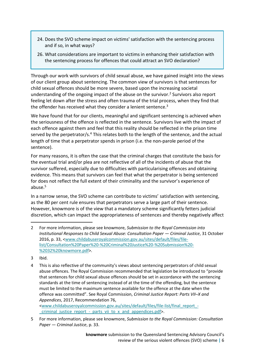- 24. Does the SVO scheme impact on victims' satisfaction with the sentencing process and if so, in what ways?
- 26. What considerations are important to victims in enhancing their satisfaction with the sentencing process for offences that could attract an SVO declaration?

Through our work with survivors of child sexual abuse, we have gained insight into the views of our client group about sentencing. The common view of survivors is that sentences for child sexual offences should be more severe, based upon the increasing societal understanding of the ongoing impact of the abuse on the survivor. <sup>2</sup> Survivors also report feeling let down after the stress and often trauma of the trial process, when they find that the offender has received what they consider a lenient sentence.<sup>3</sup>

We have found that for our clients, meaningful and significant sentencing is achieved when the seriousness of the offence is reflected in the sentence. Survivors live with the impact of each offence against them and feel that this reality should be reflected in the prison time served by the perpetrator/s.<sup>4</sup> This relates both to the length of the sentence, and the actual length of time that a perpetrator spends in prison (i.e. the non-parole period of the sentence).

For many reasons, it is often the case that the criminal charges that constitute the basis for the eventual trial and/or plea are not reflective of all of the incidents of abuse that the survivor suffered, especially due to difficulties with particularising offences and obtaining evidence. This means that survivors can feel that what the perpetrator is being sentenced for does not reflect the full extent of their criminality and the survivor's experience of abuse.<sup>5</sup>

In a narrow sense, the SVO scheme can contribute to victims' satisfaction with sentencing, as the 80 per cent rule ensures that perpetrators serve a large part of their sentence. However, knowmore is of the view that a mandatory scheme significantly fetters judicial discretion, which can impact the appropriateness of sentences and thereby negatively affect

[<www.childabuseroyalcommission.gov.au/sites/default/files/file-list/final\\_report\\_](http://www.childabuseroyalcommission.gov.au/sites/default/files/file-list/final_report_-_criminal_justice_report_-_parts_vii_to_x_and_appendices.pdf) criminal justice report - parts vii to x and appendices.pdf>.

<sup>2</sup> For more information, please see knowmore, *Submission to the Royal Commission into Institutional Responses to Child Sexual Abuse: Consultation Paper — Criminal Justice*, 31 October 2016, p. 33, [<www.childabuseroyalcommission.gov.au/sites/default/files/file](http://www.childabuseroyalcommission.gov.au/sites/default/files/file-list/Consultation%20Paper%20-%20Criminal%20Justice%20-%20Submission%20-%2032%20knowmore.pdf)[list/Consultation%20Paper%20-%20Criminal%20Justice%20-%20Submission%20-](http://www.childabuseroyalcommission.gov.au/sites/default/files/file-list/Consultation%20Paper%20-%20Criminal%20Justice%20-%20Submission%20-%2032%20knowmore.pdf) [%2032%20knowmore.pdf>](http://www.childabuseroyalcommission.gov.au/sites/default/files/file-list/Consultation%20Paper%20-%20Criminal%20Justice%20-%20Submission%20-%2032%20knowmore.pdf).

<sup>3</sup> Ibid.

<sup>4</sup> This is also reflective of the community's views about sentencing perpetrators of child sexual abuse offences. The Royal Commission recommended that legislation be introduced to "provide that sentences for child sexual abuse offences should be set in accordance with the sentencing standards at the time of sentencing instead of at the time of the offending, but the sentence must be limited to the maximum sentence available for the offence at the date when the offence was committed". See Royal Commission, *Criminal Justice Report: Parts VII–X and Appendices*, 2017, Recommendation 76,

<sup>5</sup> For more information, please see knowmore, *Submission to the Royal Commission: Consultation Paper — Criminal Justice*, p. 33.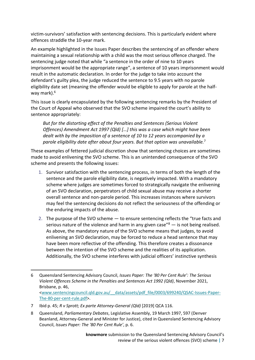victim-survivors' satisfaction with sentencing decisions. This is particularly evident where offences straddle the 10-year mark.

An example highlighted in the Issues Paper describes the sentencing of an offender where maintaining a sexual relationship with a child was the most serious offence charged. The sentencing judge noted that while "a sentence in the order of nine to 10 years imprisonment would be the appropriate range", a sentence of 10 years imprisonment would result in the automatic declaration. In order for the judge to take into account the defendant's guilty plea, the judge reduced the sentence to 9.5 years with no parole eligibility date set (meaning the offender would be eligible to apply for parole at the halfway mark).<sup>6</sup>

This issue is clearly encapsulated by the following sentencing remarks by the President of the Court of Appeal who observed that the SVO scheme impaired the court's ability to sentence appropriately:

*But for the distorting effect of the Penalties and Sentences (Serious Violent Offences) Amendment Act 1997 (Qld) […] this was a case which might have been dealt with by the imposition of a sentence of 10 to 12 years accompanied by a parole eligibility date after about four years. But that option was unavailable.*<sup>7</sup>

These examples of fettered judicial discretion show that sentencing choices are sometimes made to avoid enlivening the SVO scheme. This is an unintended consequence of the SVO scheme and presents the following issues:

- 1. Survivor satisfaction with the sentencing process, in terms of both the length of the sentence and the parole eligibility date, is negatively impacted. With a mandatory scheme where judges are sometimes forced to strategically navigate the enlivening of an SVO declaration, perpetrators of child sexual abuse may receive a shorter overall sentence and non-parole period. This increases instances where survivors may feel the sentencing decisions do not reflect the seriousness of the offending or the enduring impacts of the abuse.
- 2. The purpose of the SVO scheme to ensure sentencing reflects the "true facts and serious nature of the violence and harm in any given case<sup> $3$ </sup> – is not being realised. As above, the mandatory nature of the SVO scheme means that judges, to avoid enlivening an SVO declaration, may be forced to reduce a head sentence that may have been more reflective of the offending. This therefore creates a dissonance between the intention of the SVO scheme and the realities of its application. Additionally, the SVO scheme interferes with judicial officers' instinctive synthesis

<sup>6</sup> Queensland Sentencing Advisory Council, *Issues Paper: The '80 Per Cent Rule': The Serious Violent Offences Scheme in the Penalties and Sentences Act 1992 (Qld)*, November 2021, Brisbane, p. 46, [<www.sentencingcouncil.qld.gov.au/\\_\\_data/assets/pdf\\_file/0003/699240/QSAC-Issues-Paper-](http://www.sentencingcouncil.qld.gov.au/__data/assets/pdf_file/0003/699240/QSAC-Issues-Paper-The-80-per-cent-rule.pdf)[The-80-per-cent-rule.pdf>](http://www.sentencingcouncil.qld.gov.au/__data/assets/pdf_file/0003/699240/QSAC-Issues-Paper-The-80-per-cent-rule.pdf).

<sup>7</sup> Ibid p. 45; *R v Sprott; Ex parte Attorney-General (Qld)* [2019] QCA 116.

<sup>8</sup> Queensland, *Parliamentary Debates*, Legislative Assembly, 19 March 1997, 597 (Denver Beanland, Attorney-General and Minister for Justice), cited in Queensland Sentencing Advisory Council, *Issues Paper: The '80 Per Cent Rule'*, p. 6.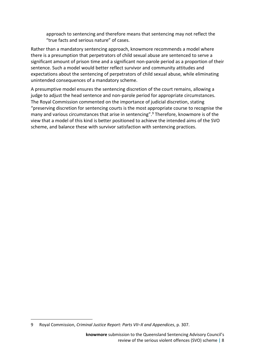approach to sentencing and therefore means that sentencing may not reflect the "true facts and serious nature" of cases.

Rather than a mandatory sentencing approach, knowmore recommends a model where there is a presumption that perpetrators of child sexual abuse are sentenced to serve a significant amount of prison time and a significant non-parole period as a proportion of their sentence. Such a model would better reflect survivor and community attitudes and expectations about the sentencing of perpetrators of child sexual abuse, while eliminating unintended consequences of a mandatory scheme.

A presumptive model ensures the sentencing discretion of the court remains, allowing a judge to adjust the head sentence and non-parole period for appropriate circumstances. The Royal Commission commented on the importance of judicial discretion, stating "preserving discretion for sentencing courts is the most appropriate course to recognise the many and various circumstances that arise in sentencing". <sup>9</sup> Therefore, knowmore is of the view that a model of this kind is better positioned to achieve the intended aims of the SVO scheme, and balance these with survivor satisfaction with sentencing practices.

<sup>9</sup> Royal Commission, *Criminal Justice Report: Parts VII–X and Appendices*, p. 307.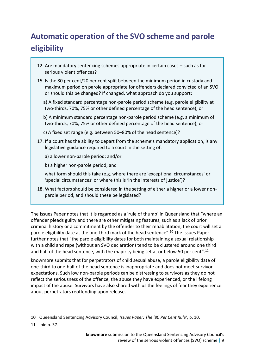## <span id="page-8-0"></span>**Automatic operation of the SVO scheme and parole eligibility**

- 12. Are mandatory sentencing schemes appropriate in certain cases such as for serious violent offences?
- 15. Is the 80 per cent/20 per cent split between the minimum period in custody and maximum period on parole appropriate for offenders declared convicted of an SVO or should this be changed? If changed, what approach do you support:

a) A fixed standard percentage non-parole period scheme (e.g. parole eligibility at two-thirds, 70%, 75% or other defined percentage of the head sentence); or

b) A minimum standard percentage non-parole period scheme (e.g. a minimum of two-thirds, 70%, 75% or other defined percentage of the head sentence); or

- c) A fixed set range (e.g. between 50–80% of the head sentence)?
- 17. If a court has the ability to depart from the scheme's mandatory application, is any legislative guidance required to a court in the setting of:
	- a) a lower non-parole period; and/or

b) a higher non-parole period; and

what form should this take (e.g. where there are 'exceptional circumstances' or 'special circumstances' or where this is 'in the interests of justice')?

18. What factors should be considered in the setting of either a higher or a lower nonparole period, and should these be legislated?

The Issues Paper notes that it is regarded as a 'rule of thumb' in Queensland that "where an offender pleads guilty and there are other mitigating features, such as a lack of prior criminal history or a commitment by the offender to their rehabilitation, the court will set a parole eligibility date at the one-third mark of the head sentence".<sup>10</sup> The Issues Paper further notes that "the parole eligibility dates for both maintaining a sexual relationship with a child and rape (without an SVO declaration) tend to be clustered around one third and half of the head sentence, with the majority being set at or below 50 per cent".<sup>11</sup>

knowmore submits that for perpetrators of child sexual abuse, a parole eligibility date of one-third to one-half of the head sentence is inappropriate and does not meet survivor expectations. Such low non-parole periods can be distressing to survivors as they do not reflect the seriousness of the offence, the abuse they have experienced, or the lifelong impact of the abuse. Survivors have also shared with us the feelings of fear they experience about perpetrators reoffending upon release.

<sup>10</sup> Queensland Sentencing Advisory Council, *Issues Paper: The '80 Per Cent Rule'*, p. 10.

<sup>11</sup> Ibid p. 37.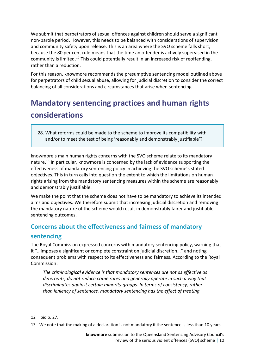We submit that perpetrators of sexual offences against children should serve a significant non-parole period. However, this needs to be balanced with considerations of supervision and community safety upon release. This is an area where the SVO scheme falls short, because the 80 per cent rule means that the time an offender is actively supervised in the community is limited.<sup>12</sup> This could potentially result in an increased risk of reoffending. rather than a reduction.

For this reason, knowmore recommends the presumptive sentencing model outlined above for perpetrators of child sexual abuse, allowing for judicial discretion to consider the correct balancing of all considerations and circumstances that arise when sentencing.

## <span id="page-9-0"></span>**Mandatory sentencing practices and human rights considerations**

28. What reforms could be made to the scheme to improve its compatibility with and/or to meet the test of being 'reasonably and demonstrably justifiable'?

knowmore's main human rights concerns with the SVO scheme relate to its mandatory nature.<sup>13</sup> In particular, knowmore is concerned by the lack of evidence supporting the effectiveness of mandatory sentencing policy in achieving the SVO scheme's stated objectives. This in turn calls into question the extent to which the limitations on human rights arising from the mandatory sentencing measures within the scheme are reasonably and demonstrably justifiable.

We make the point that the scheme does not have to be mandatory to achieve its intended aims and objectives. We therefore submit that increasing judicial discretion and removing the mandatory nature of the scheme would result in demonstrably fairer and justifiable sentencing outcomes.

#### **Concerns about the effectiveness and fairness of mandatory**

#### **sentencing**

The Royal Commission expressed concerns with mandatory sentencing policy, warning that it "…imposes a significant or complete constraint on judicial discretion…" and noting consequent problems with respect to its effectiveness and fairness. According to the Royal Commission:

*The criminological evidence is that mandatory sentences are not as effective as deterrents, do not reduce crime rates and generally operate in such a way that discriminates against certain minority groups. In terms of consistency, rather than leniency of sentences, mandatory sentencing has the effect of treating* 

<sup>12</sup> Ibid p. 27.

<sup>13</sup> We note that the making of a declaration is not mandatory if the sentence is less than 10 years.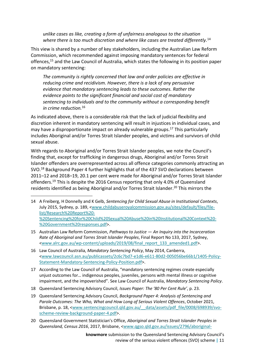*unlike cases as like, creating a form of unfairness analogous to the situation where there is too much discretion and where like cases are treated differently.* 14

This view is shared by a number of key stakeholders, including the Australian Law Reform Commission, which recommended against imposing mandatory sentences for federal offences,<sup>15</sup> and the Law Council of Australia, which states the following in its position paper on mandatory sentencing:

*The community is rightly concerned that law and order policies are effective in reducing crime and recidivism. However, there is a lack of any persuasive evidence that mandatory sentencing leads to these outcomes. Rather the evidence points to the significant financial and social cost of mandatory sentencing to individuals and to the community without a corresponding benefit in crime reduction.*<sup>16</sup>

As indicated above, there is a considerable risk that the lack of judicial flexibility and discretion inherent in mandatory sentencing will result in injustices in individual cases, and may have a disproportionate impact on already vulnerable groups.<sup>17</sup> This particularly includes Aboriginal and/or Torres Strait Islander peoples, and victims and survivors of child sexual abuse.

With regards to Aboriginal and/or Torres Strait Islander peoples, we note the Council's finding that, except for trafficking in dangerous drugs, Aboriginal and/or Torres Strait Islander offenders are overrepresented across all offence categories commonly attracting an SVO.<sup>18</sup> Background Paper 4 further highlights that of the 437 SVO declarations between 2011–12 and 2018–19, 20.1 per cent were made for Aboriginal and/or Torres Strait Islander offenders.<sup>19</sup> This is despite the 2016 Census reporting that only 4.0% of Queensland residents identified as being Aboriginal and/or Torres Strait Islander. <sup>20</sup> This mirrors the

- 14 A Freiberg, H Donnelly and K Gelb, *Sentencing for Child Sexual Abuse in Institutional Contexts*, July 2015, Sydney, p. 189, [<www.childabuseroyalcommission.gov.au/sites/default/files/file](http://www.childabuseroyalcommission.gov.au/sites/default/files/file-list/Research%20Report%20-%20Sentencing%20for%20Child%20Sexual%20Abuse%20in%20Institutional%20Context%20-%20Government%20responses.pdf)[list/Research%20Report%20-](http://www.childabuseroyalcommission.gov.au/sites/default/files/file-list/Research%20Report%20-%20Sentencing%20for%20Child%20Sexual%20Abuse%20in%20Institutional%20Context%20-%20Government%20responses.pdf) [%20Sentencing%20for%20Child%20Sexual%20Abuse%20in%20Institutional%20Context%20-](http://www.childabuseroyalcommission.gov.au/sites/default/files/file-list/Research%20Report%20-%20Sentencing%20for%20Child%20Sexual%20Abuse%20in%20Institutional%20Context%20-%20Government%20responses.pdf) [%20Government%20responses.pdf>](http://www.childabuseroyalcommission.gov.au/sites/default/files/file-list/Research%20Report%20-%20Sentencing%20for%20Child%20Sexual%20Abuse%20in%20Institutional%20Context%20-%20Government%20responses.pdf).
- 15 Australian Law Reform Commission, *Pathways to Justice — An Inquiry into the Incarceration Rate of Aboriginal and Torres Strait Islander Peoples*, Final Report No 133, 2017, Sydney, [<www.alrc.gov.au/wp-content/uploads/2019/08/final\\_report\\_133\\_amended1.pdf>](http://www.alrc.gov.au/wp-content/uploads/2019/08/final_report_133_amended1.pdf).
- 16 Law Council of Australia, *Mandatory Sentencing Policy*, May 2014, Canberra, [<www.lawcouncil.asn.au/publicassets/2c6c7bd7-e1d6-e611-80d2-005056be66b1/1405-Policy-](http://www.lawcouncil.asn.au/publicassets/2c6c7bd7-e1d6-e611-80d2-005056be66b1/1405-Policy-Statement-Mandatory-Sentencing-Policy-Position.pdf)[Statement-Mandatory-Sentencing-Policy-Position.pdf>](http://www.lawcouncil.asn.au/publicassets/2c6c7bd7-e1d6-e611-80d2-005056be66b1/1405-Policy-Statement-Mandatory-Sentencing-Policy-Position.pdf).
- 17 According to the Law Council of Australia, "mandatory sentencing regimes create especially unjust outcomes for… indigenous peoples, juveniles, persons with mental illness or cognitive impairment, and the impoverished". See Law Council of Australia, *Mandatory Sentencing Policy*.
- 18 Queensland Sentencing Advisory Council, *Issues Paper: The '80 Per Cent Rule'*, p. 23.
- 19 Queensland Sentencing Advisory Council, *Background Paper 4: Analysis of Sentencing and Parole Outcomes: The Who, What and How Long of Serious Violent Offences*, October 2021, Brisbane, p. 18, <www.sentencingcouncil.qld.gov.au/ data/assets/pdf file/0008/698939/svo[scheme-review-background-paper-4.pdf>](http://www.sentencingcouncil.qld.gov.au/__data/assets/pdf_file/0008/698939/svo-scheme-review-background-paper-4.pdf).
- 20 Queensland Government Statistician's Office, *Aboriginal and Torres Strait Islander Peoples in Queensland, Census 2016*, 2017, Brisbane, [<www.qgso.qld.gov.au/issues/2796/aboriginal-](http://www.qgso.qld.gov.au/issues/2796/aboriginal-torres-strait-islander-peoples-qld-census-2016.pdf)

**knowmore** submission to the Queensland Sentencing Advisory Council's review of the serious violent offences (SVO) scheme **|** 11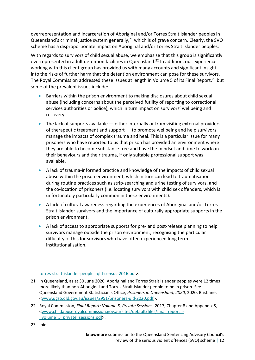overrepresentation and incarceration of Aboriginal and/or Torres Strait Islander peoples in Queensland's criminal justice system generally,<sup>21</sup> which is of grave concern. Clearly, the SVO scheme has a disproportionate impact on Aboriginal and/or Torres Strait Islander peoples.

With regards to survivors of child sexual abuse, we emphasise that this group is significantly overrepresented in adult detention facilities in Queensland. <sup>22</sup> In addition, our experience working with this client group has provided us with many accounts and significant insight into the risks of further harm that the detention environment can pose for these survivors. The Royal Commission addressed these issues at length in Volume 5 of its Final Report,<sup>23</sup> but some of the prevalent issues include:

- Barriers within the prison environment to making disclosures about child sexual abuse (including concerns about the perceived futility of reporting to correctional services authorities or police), which in turn impact on survivors' wellbeing and recovery.
- The lack of supports available either internally or from visiting external providers of therapeutic treatment and support — to promote wellbeing and help survivors manage the impacts of complex trauma and heal. This is a particular issue for many prisoners who have reported to us that prison has provided an environment where they are able to become substance free and have the mindset and time to work on their behaviours and their trauma, if only suitable professional support was available.
- A lack of trauma-informed practice and knowledge of the impacts of child sexual abuse within the prison environment, which in turn can lead to traumatisation during routine practices such as strip-searching and urine testing of survivors, and the co-location of prisoners (i.e. locating survivors with child sex offenders, which is unfortunately particularly common in these environments).
- A lack of cultural awareness regarding the experiences of Aboriginal and/or Torres Strait Islander survivors and the importance of culturally appropriate supports in the prison environment.
- A lack of access to appropriate supports for pre- and post-release planning to help survivors manage outside the prison environment, recognising the particular difficulty of this for survivors who have often experienced long term institutionalisation.

[torres-strait-islander-peoples-qld-census-2016.pdf>](http://www.qgso.qld.gov.au/issues/2796/aboriginal-torres-strait-islander-peoples-qld-census-2016.pdf).

<sup>21</sup> In Queensland, as at 30 June 2020, Aboriginal and Torres Strait Islander peoples were 12 times more likely than non-Aboriginal and Torres Strait Islander people to be in prison. See Queensland Government Statistician's Office, *Prisoners in Queensland, 2020*, 2020, Brisbane, [<www.qgso.qld.gov.au/issues/2951/prisoners-qld-2020.pdf>](http://www.qgso.qld.gov.au/issues/2951/prisoners-qld-2020.pdf).

<sup>22</sup> Royal Commission, *Final Report: Volume 5, [Private Sessions](file:///C:/Users/simon/Downloads/Royal%20Commission%20into%20Institutional%20Responses%20to%20Child%20Sexual%20Abuse,%20Final%20Report:%20Volume%2015)*, 2017, Chapter 8 and Appendix S, [<www.childabuseroyalcommission.gov.au/sites/default/files/final\\_report\\_](http://www.childabuseroyalcommission.gov.au/sites/default/files/final_report_-_volume_5_private_sessions.pdf) volume 5 private sessions.pdf>.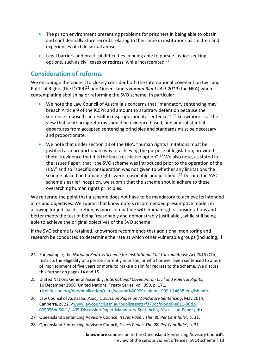- The prison environment presenting problems for prisoners in being able to obtain and confidentially store records relating to their time in institutions as children and experiences of child sexual abuse.
- Legal barriers and practical difficulties in being able to pursue justice-seeking options, such as civil cases or redress, while incarcerated.<sup>24</sup>

#### **Consideration of reforms**

We encourage the Council to closely consider both the International Covenant on Civil and Political Rights (the ICCPR)<sup>25</sup> and Queensland's *Human Rights Act 2019* (the HRA) when contemplating abolishing or reforming the SVO scheme. In particular:

- We note the Law Council of Australia's concerns that "mandatory sentencing may breach Article 9 of the ICCPR and amount to arbitrary detention because the sentence imposed can result in disproportionate sentences".<sup>26</sup> knowmore is of the view that sentencing reforms should be evidence based, and any substantial departures from accepted sentencing principles and standards must be necessary and proportionate.
- We note that under section 13 of the HRA, "human rights limitations must be justified as a proportionate way of achieving the purpose of legislation, provided there is evidence that it is the least restrictive option".<sup>27</sup> We also note, as stated in the Issues Paper, that "the SVO scheme was introduced prior to the operation of the HRA" and so "specific consideration was not given to whether any limitations the scheme placed on human rights were reasonable and justified". <sup>28</sup> Despite the SVO scheme's earlier inception, we submit that the scheme should adhere to these overarching human rights principles.

We reiterate the point that a scheme does not have to be mandatory to achieve its intended aims and objectives. We submit that knowmore's recommended presumptive model, in allowing for judicial discretion, is more compatible with human rights considerations and better meets the test of being 'reasonably and demonstrably justifiable', while still being able to achieve the original objectives of the SVO scheme.

If the SVO scheme is retained, knowmore recommends that additional monitoring and research be conducted to determine the rate at which other vulnerable groups (including, if

28 Queensland Sentencing Advisory Council, *Issues Paper: The '80 Per Cent Rule'*, p. 31.

<sup>24</sup> For example, the *National Redress Scheme for Institutional Child Sexual Abuse Act 2018* (Cth) restricts the eligibility of a person currently in prison, or who has ever been sentenced to a term of imprisonment of five years or more, to make a claim for redress to the Scheme. We discuss this further on pages 14 and 15.

<sup>25</sup> United Nations General Assembly, *International Covenant on Civil and Political Rights*, 16 December 1966, United Nations, Treaty Series, vol. 999, p. 171, [<treaties.un.org/doc/publication/unts/volume%20999/volume-999-i-14668-english.pdf>](https://treaties.un.org/doc/publication/unts/volume%20999/volume-999-i-14668-english.pdf).

<sup>26</sup> Law Council of Australia, *Policy Discussion Paper on Mandatory Sentencing*, May 2014, Canberra, p. 22, [<www.lawcouncil.asn.au/publicassets/f370dcfc-bdd6-e611-80d2-](http://www.lawcouncil.asn.au/publicassets/f370dcfc-bdd6-e611-80d2-005056be66b1/1405-Discussion-Paper-Mandatory-Sentencing-Discussion-Paper.pdf) [005056be66b1/1405-Discussion-Paper-Mandatory-Sentencing-Discussion-Paper.pdf>](http://www.lawcouncil.asn.au/publicassets/f370dcfc-bdd6-e611-80d2-005056be66b1/1405-Discussion-Paper-Mandatory-Sentencing-Discussion-Paper.pdf).

<sup>27</sup> Queensland Sentencing Advisory Council, *Issues Paper: The '80 Per Cent Rule'*, p. 31.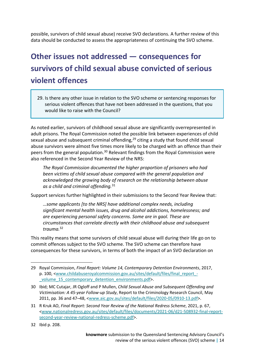possible, survivors of child sexual abuse) receive SVO declarations. A further review of this data should be conducted to assess the appropriateness of continuing the SVO scheme.

## <span id="page-13-0"></span>**Other issues not addressed — consequences for survivors of child sexual abuse convicted of serious violent offences**

29. Is there any other issue in relation to the SVO scheme or sentencing responses for serious violent offences that have not been addressed in the questions, that you would like to raise with the Council?

As noted earlier, survivors of childhood sexual abuse are significantly overrepresented in adult prisons. The Royal Commission noted the possible link between experiences of child sexual abuse and subsequent criminal offending,<sup>29</sup> citing a study that found child sexual abuse survivors were almost five times more likely to be charged with an offence than their peers from the general population.<sup>30</sup> Relevant findings from the Royal Commission were also referenced in the Second Year Review of the NRS:

*The Royal Commission documented the higher proportion of prisoners who had been victims of child sexual abuse compared with the general population and acknowledged the growing body of research on the relationship between abuse as a child and criminal offending.*<sup>31</sup>

Support services further highlighted in their submissions to the Second Year Review that:

*…some applicants [to the NRS] have additional complex needs, including significant mental health issues, drug and alcohol addictions, homelessness; and are experiencing personal safety concerns. Some are in gaol. These are circumstances that correlate directly with their childhood abuse and subsequent trauma.*<sup>32</sup>

This reality means that some survivors of child sexual abuse will during their life go on to commit offences subject to the SVO scheme. The SVO scheme can therefore have consequences for these survivors, in terms of both the impact of an SVO declaration on

<sup>29</sup> Royal Commission, *Final Report: Volume 14, Contemporary Detention Environments*, 2017, p. 100, [<www.childabuseroyalcommission.gov.au/sites/default/files/final\\_report\\_](http://www.childabuseroyalcommission.gov.au/sites/default/files/final_report_-_volume_15_contemporary_detention_environments.pdf) volume 15 contemporary detention environments.pdf>.

<sup>30</sup> Ibid; MC Cutajar, JR Ogloff and P Mullen, *Child Sexual Abuse and Subsequent Offending and Victimisation: A 45-year Follow-up Study*, Report to the Criminology Research Council, May 2011, pp. 36 and 47–48, [<www.aic.gov.au/sites/default/files/2020-05/0910-13.pdf>](http://www.aic.gov.au/sites/default/files/2020-05/0910-13.pdf).

<sup>31</sup> R Kruk AO, *Final Report: [Second Year Review of the National Redress Scheme](https://www.nationalredress.gov.au/sites/default/files/documents/2021-06/d21-508932-final-report-second-year-review-national-redress-scheme.pdf)*, 2021, p. 67, [<www.nationalredress.gov.au/sites/default/files/documents/2021-06/d21-508932-final-report](http://www.nationalredress.gov.au/sites/default/files/documents/2021-06/d21-508932-final-report-second-year-review-national-redress-scheme.pdf)[second-year-review-national-redress-scheme.pdf>](http://www.nationalredress.gov.au/sites/default/files/documents/2021-06/d21-508932-final-report-second-year-review-national-redress-scheme.pdf).

<sup>32</sup> Ibid p. 208.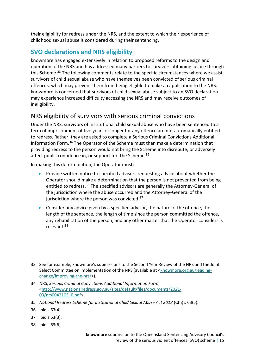their eligibility for redress under the NRS, and the extent to which their experience of childhood sexual abuse is considered during their sentencing.

#### **SVO declarations and NRS eligibility**

knowmore has engaged extensively in relation to proposed reforms to the design and operation of the NRS and has addressed many barriers to survivors obtaining justice through this Scheme.<sup>33</sup> The following comments relate to the specific circumstances where we assist survivors of child sexual abuse who have themselves been convicted of serious criminal offences, which may prevent them from being eligible to make an application to the NRS. knowmore is concerned that survivors of child sexual abuse subject to an SVO declaration may experience increased difficulty accessing the NRS and may receive outcomes of ineligibility.

#### NRS eligibility of survivors with serious criminal convictions

Under the NRS, survivors of institutional child sexual abuse who have been sentenced to a term of imprisonment of five years or longer for any offence are not automatically entitled to redress. Rather, they are asked to complete a Serious Criminal Convictions Additional Information Form. <sup>34</sup> The Operator of the Scheme must then make a determination that providing redress to the person would not bring the Scheme into disrepute, or adversely affect public confidence in, or support for, the Scheme.<sup>35</sup>

In making this determination, the Operator must:

- Provide written notice to specified advisors requesting advice about whether the Operator should make a determination that the person is not prevented from being entitled to redress.<sup>36</sup> The specified advisors are generally the Attorney-General of the jurisdiction where the abuse occurred and the Attorney‑General of the jurisdiction where the person was convicted.<sup>37</sup>
- Consider any advice given by a specified advisor, the nature of the offence, the length of the sentence, the length of time since the person committed the offence, any rehabilitation of the person, and any other matter that the Operator considers is relevant.<sup>38</sup>

- 37 Ibid s 63(3).
- 38 Ibid s 63(6).

<sup>33</sup> See for example, knowmore's submissions to the Second Year Review of the NRS and the Joint Select Committee on Implementation of the NRS (available at [<knowmore.org.au/leading](file:///C:/Users/simon/Downloads/knowmore.org.au/leading-change/improving-the-nrs/)[change/improving-the-nrs/>](file:///C:/Users/simon/Downloads/knowmore.org.au/leading-change/improving-the-nrs/)).

<sup>34</sup> NRS, *Serious Criminal Convictions Additional Information Form*, [<http://www.nationalredress.gov.au/sites/default/files/documents/2021-](http://www.nationalredress.gov.au/sites/default/files/documents/2021-03/nrs0042103_0.pdf) [03/nrs0042103\\_0.pdf>](http://www.nationalredress.gov.au/sites/default/files/documents/2021-03/nrs0042103_0.pdf).

<sup>35</sup> *National Redress Scheme for Institutional Child Sexual Abuse Act 2018* (Cth) s 63(5).

<sup>36</sup> Ibid s 63(4).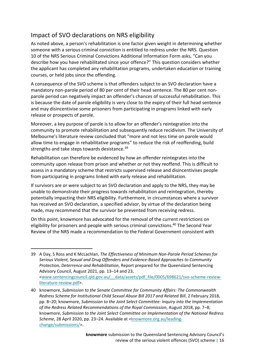#### Impact of SVO declarations on NRS eligibility

As noted above, a person's rehabilitation is one factor given weight in determining whether someone with a serious criminal conviction is entitled to redress under the NRS. Question 10 of the NRS Serious Criminal Convictions Additional Information Form asks, "Can you describe how you have rehabilitated since your offence?" This question considers whether the applicant has completed any rehabilitation programs, undertaken education or training courses, or held jobs since the offending.

A consequence of the SVO scheme is that offenders subject to an SVO declaration have a mandatory non-parole period of 80 per cent of their head sentence. The 80 per cent nonparole period can negatively impact an offender's chances of successful rehabilitation. This is because the date of parole eligibility is very close to the expiry of their full head sentence and may disincentivise some prisoners from participating in programs linked with early release or prospects of parole.

Moreover, a key purpose of parole is to allow for an offender's reintegration into the community to promote rehabilitation and subsequently reduce recidivism. The University of Melbourne's literature review concluded that "more and not less time on parole would allow time to engage in rehabilitative programs" to reduce the risk of reoffending, build strengths and take steps towards desistance.<sup>39</sup>

Rehabilitation can therefore be evidenced by how an offender reintegrates into the community upon release from prison and whether or not they reoffend. This is difficult to assess in a mandatory scheme that restricts supervised release and disincentivises people from participating in programs linked with early release and rehabilitation.

If survivors are or were subject to an SVO declaration and apply to the NRS, they may be unable to demonstrate their progress towards rehabilitation and reintegration, thereby potentially impacting their NRS eligibility. Furthermore, in circumstances where a survivor has received an SVO declaration, a specified advisor, by virtue of the declaration being made, may recommend that the survivor be prevented from receiving redress.

On this point, knowmore has advocated for the removal of the current restrictions on eligibility for prisoners and people with serious criminal convictions.<sup>40</sup> The Second Year Review of the NRS made a recommendation to the Federal Government consistent with

<sup>39</sup> A Day, S Ross and K McLachlan, *The Effectiveness of Minimum Non-Parole Period Schemes for Serious Violent, Sexual and Drug Offenders and Evidence-Based Approaches to Community Protection, Deterrence and Rehabilitation*, Report prepared for the Queensland Sentencing Advisory Council, August 2021, pp. 13–14 and 23, [<www.sentencingcouncil.qld.gov.au/\\_\\_data/assets/pdf\\_file/0005/698621/svo-scheme-review](http://www.sentencingcouncil.qld.gov.au/__data/assets/pdf_file/0005/698621/svo-scheme-review-literature-review.pdf)[literature-review.pdf>](http://www.sentencingcouncil.qld.gov.au/__data/assets/pdf_file/0005/698621/svo-scheme-review-literature-review.pdf).

<sup>40</sup> knowmore, *Submission to the Senate Committee for Community Affairs: The Commonwealth Redress Scheme for Institutional Child Sexual Abuse Bill 2017 and Related Bill*, 2 February 2018, pp. 8–20; knowmore, *Submission to the Joint Select Committee: Inquiry into the Implementation of the Redress Related Recommendations of the Royal Commission*, August 2018, pp. 7–8; knowmore, *Submission to the Joint Select Committee on Implementation of the National Redress Scheme*, 28 April 2020, pp. 23–24. Available at [<knowmore.org.au/leading](https://knowmore.org.au/leading-change/submissions/)[change/submissions/>](https://knowmore.org.au/leading-change/submissions/).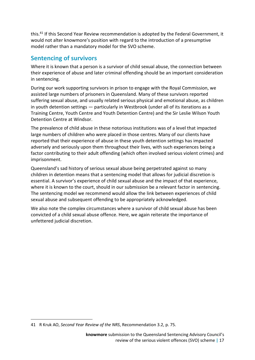this. <sup>41</sup> If this Second Year Review recommendation is adopted by the Federal Government, it would not alter knowmore's position with regard to the introduction of a presumptive model rather than a mandatory model for the SVO scheme.

#### **Sentencing of survivors**

Where it is known that a person is a survivor of child sexual abuse, the connection between their experience of abuse and later criminal offending should be an important consideration in sentencing.

During our work supporting survivors in prison to engage with the Royal Commission, we assisted large numbers of prisoners in Queensland. Many of these survivors reported suffering sexual abuse, and usually related serious physical and emotional abuse, as children in youth detention settings — particularly in Westbrook (under all of its iterations as a Training Centre, Youth Centre and Youth Detention Centre) and the Sir Leslie Wilson Youth Detention Centre at Windsor.

The prevalence of child abuse in these notorious institutions was of a level that impacted large numbers of children who were placed in those centres. Many of our clients have reported that their experience of abuse in these youth detention settings has impacted adversely and seriously upon them throughout their lives, with such experiences being a factor contributing to their adult offending (which often involved serious violent crimes) and imprisonment.

Queensland's sad history of serious sexual abuse being perpetrated against so many children in detention means that a sentencing model that allows for judicial discretion is essential. A survivor's experience of child sexual abuse and the impact of that experience, where it is known to the court, should in our submission be a relevant factor in sentencing. The sentencing model we recommend would allow the link between experiences of child sexual abuse and subsequent offending to be appropriately acknowledged.

We also note the complex circumstances where a survivor of child sexual abuse has been convicted of a child sexual abuse offence. Here, we again reiterate the importance of unfettered judicial discretion.

<sup>41</sup> R Kruk AO, *Second Year Review of the NRS*, Recommendation 3.2, p. 75.